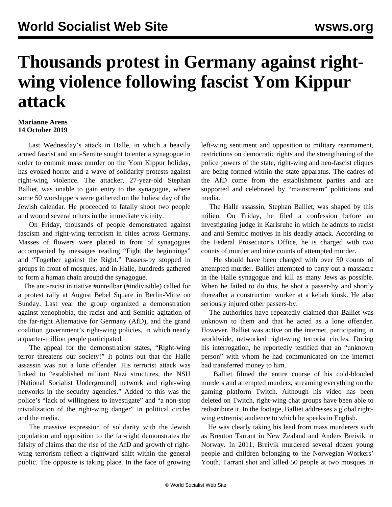## **Thousands protest in Germany against rightwing violence following fascist Yom Kippur attack**

## **Marianne Arens 14 October 2019**

 Last Wednesday's attack in Halle, in which a heavily armed fascist and anti-Semite sought to enter a synagogue in order to commit mass murder on the Yom Kippur holiday, has evoked horror and a wave of solidarity protests against right-wing violence. The attacker, 27-year-old Stephan Balliet, was unable to gain entry to the synagogue, where some 50 worshippers were gathered on the holiest day of the Jewish calendar. He proceeded to fatally shoot two people and wound several others in the immediate vicinity.

 On Friday, thousands of people demonstrated against fascism and right-wing terrorism in cities across Germany. Masses of flowers were placed in front of synagogues accompanied by messages reading "Fight the beginnings" and "Together against the Right." Passers-by stopped in groups in front of mosques, and in Halle, hundreds gathered to form a human chain around the synagogue.

 The anti-racist initiative #unteilbar (#indivisible) called for a protest rally at August Bebel Square in Berlin-Mitte on Sunday. Last year the group organized a demonstration against xenophobia, the racist and anti-Semitic agitation of the far-right Alternative for Germany (AfD), and the grand coalition government's right-wing policies, in which nearly a quarter-million people participated.

 The appeal for the demonstration states, "Right-wing terror threatens our society!" It points out that the Halle assassin was not a lone offender. His terrorist attack was linked to "established militant Nazi structures, the NSU [National Socialist Underground] network and right-wing networks in the security agencies." Added to this was the police's "lack of willingness to investigate" and "a non-stop trivialization of the right-wing danger" in political circles and the media.

 The massive expression of solidarity with the Jewish population and opposition to the far-right demonstrates the falsity of claims that the rise of the AfD and growth of rightwing terrorism reflect a rightward shift within the general public. The opposite is taking place. In the face of growing left-wing sentiment and opposition to military rearmament, restrictions on democratic rights and the strengthening of the police powers of the state, right-wing and neo-fascist cliques are being formed within the state apparatus. The cadres of the AfD come from the establishment parties and are supported and celebrated by "mainstream" politicians and media.

 The Halle assassin, Stephan Balliet, was shaped by this milieu. On Friday, he filed a confession before an investigating judge in Karlsruhe in which he admits to racist and anti-Semitic motives in his deadly attack. According to the Federal Prosecutor's Office, he is charged with two counts of murder and nine counts of attempted murder.

 He should have been charged with over 50 counts of attempted murder. Balliet attempted to carry out a massacre in the [Halle synagogue](/en/articles/2019/10/10/germ-o10.html) and kill as many Jews as possible. When he failed to do this, he shot a passer-by and shortly thereafter a construction worker at a kebab kiosk. He also seriously injured other passers-by.

 The authorities have repeatedly claimed that Balliet was unknown to them and that he acted as a lone offender. However, Balliet was active on the internet, participating in worldwide, networked right-wing terrorist circles. During his interrogation, he reportedly testified that an "unknown person" with whom he had communicated on the internet had transferred money to him.

 Balliet filmed the entire course of his cold-blooded murders and attempted murders, streaming everything on the gaming platform Twitch. Although his video has been deleted on Twitch, right-wing chat groups have been able to redistribute it. In the footage, Balliet addresses a global rightwing extremist audience to which he speaks in English.

 He was clearly taking his lead from mass murderers such as Brenton Tarrant in New Zealand and Anders Breivik in Norway. In 2011, Breivik murdered several dozen young people and children belonging to the Norwegian Workers' Youth. Tarrant shot and killed 50 people at two mosques in